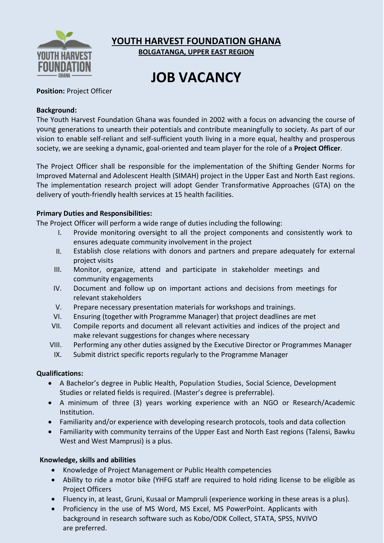

**YOUTH HARVEST FOUNDATION GHANA**

**BOLGATANGA, UPPER EAST REGION**

# **JOB VACANCY**

# **Position:** Project Officer

## **Background:**

The Youth Harvest Foundation Ghana was founded in 2002 with a focus on advancing the course of young generations to unearth their potentials and contribute meaningfully to society. As part of our vision to enable self-reliant and self-sufficient youth living in a more equal, healthy and prosperous society, we are seeking a dynamic, goal-oriented and team player for the role of a **Project Officer**.

The Project Officer shall be responsible for the implementation of the Shifting Gender Norms for Improved Maternal and Adolescent Health (SIMAH) project in the Upper East and North East regions. The implementation research project will adopt Gender Transformative Approaches (GTA) on the delivery of youth-friendly health services at 15 health facilities.

## **Primary Duties and Responsibilities:**

The Project Officer will perform a wide range of duties including the following:

- I. Provide monitoring oversight to all the project components and consistently work to ensures adequate community involvement in the project
- II. Establish close relations with donors and partners and prepare adequately for external project visits
- III. Monitor, organize, attend and participate in stakeholder meetings and community engagements
- IV. Document and follow up on important actions and decisions from meetings for relevant stakeholders
- V. Prepare necessary presentation materials for workshops and trainings.
- VI. Ensuring (together with Programme Manager) that project deadlines are met
- VII. Compile reports and document all relevant activities and indices of the project and make relevant suggestions for changes where necessary
- VIII. Performing any other duties assigned by the Executive Director or Programmes Manager
- IX. Submit district specific reports regularly to the Programme Manager

### **Qualifications:**

- A Bachelor's degree in Public Health, Population Studies, Social Science, Development Studies or related fields is required. (Master's degree is preferrable).
- A minimum of three (3) years working experience with an NGO or Research/Academic Institution.
- Familiarity and/or experience with developing research protocols, tools and data collection
- Familiarity with community terrains of the Upper East and North East regions (Talensi, Bawku West and West Mamprusi) is a plus.

# **Knowledge, skills and abilities**

- Knowledge of Project Management or Public Health competencies
- Ability to ride a motor bike (YHFG staff are required to hold riding license to be eligible as Project Officers
- Fluency in, at least, Gruni, Kusaal or Mampruli (experience working in these areas is a plus).
- Proficiency in the use of MS Word, MS Excel, MS PowerPoint. Applicants with background in research software such as Kobo/ODK Collect, STATA, SPSS, NVIVO are preferred.